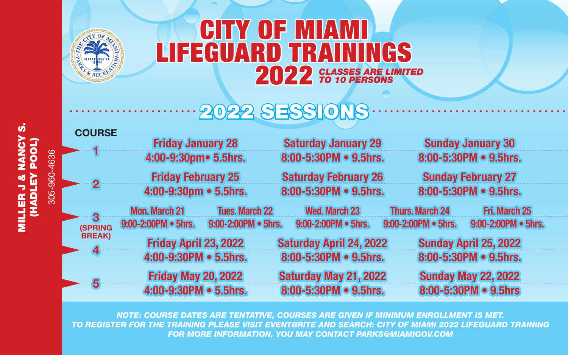

MILLER J & NANCY S. (HADLEY POOL) 305-960-4636

(HADLEY POOL)<br>HADLEY POOL)

305-960-4636

ú

## CITY OF MIAMI LIFEGUARD TRAININGS 2022 *CLASSES ARE LIMITED TO 10 PERSONS*

## 2022 SESSIONS

| <b>COURSE</b>           |                            |                       |                                |  |                           |                            |  |
|-------------------------|----------------------------|-----------------------|--------------------------------|--|---------------------------|----------------------------|--|
|                         | <b>Friday January 28</b>   |                       | <b>Saturday January 29</b>     |  |                           | <b>Sunday January 30</b>   |  |
|                         | 4:00-9:30pm• 5.5hrs.       |                       | 8:00-5:30PM • 9.5hrs.          |  |                           | 8:00-5:30PM • 9.5hrs.      |  |
| $-2-$                   | <b>Friday February 25</b>  |                       | <b>Saturday February 26</b>    |  | <b>Sunday February 27</b> |                            |  |
|                         | 4:00-9:30pm • 5.5hrs.      |                       | 8:00-5:30PM • 9.5hrs.          |  | 8:00-5:30PM • 9.5hrs.     |                            |  |
| - 3                     | <b>Mon. March 21</b>       | <b>Tues, March 22</b> | <b>Wed. March 23</b>           |  | <b>Thurs. March 24</b>    | <b>Fri. March 25</b>       |  |
| <b>(SPRING</b>          | 9:00-2:00PM . 5hrs.        | 9:00-2:00PM . 5hrs.   | 9:00-2:00PM . 5hrs.            |  | 9:00-2:00PM . 5hrs.       | 9:00-2:00PM . 5hrs.        |  |
| <b>BREAK</b> )<br>$-4-$ | Friday April 23, 2022      |                       | <b>Saturday April 24, 2022</b> |  | Sunday April 25, 2022     |                            |  |
|                         | 4:00-9:30PM . 5.5hrs.      |                       | 8:00-5:30PM . 9.5hrs.          |  |                           | 8:00-5:30PM . 9.5hrs.      |  |
| -5                      | <b>Friday May 20, 2022</b> |                       | Saturday May 21, 2022          |  |                           | <b>Sunday May 22, 2022</b> |  |
|                         | 4:00-9:30PM . 5.5hrs.      |                       | 8:00-5:30PM . 9.5hrs.          |  |                           | 8:00-5:30PM . 9.5hrs       |  |
|                         |                            |                       |                                |  |                           |                            |  |

*NOTE: COURSE DATES ARE TENTATIVE, COURSES ARE GIVEN IF MINIMUM ENROLLMENT IS MET. TO REGISTER FOR THE TRAINING PLEASE VISIT EVENTBRITE AND SEARCH: CITY OF MIAMI 2022 LIFEGUARD TRAINING FOR MORE INFORMATION, YOU MAY CONTACT PARKS@MIAMIGOV.COM*